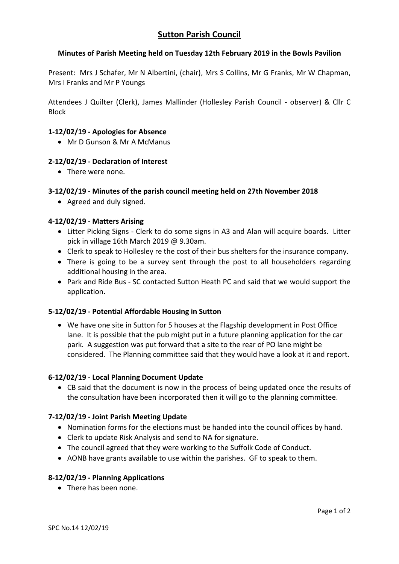# **Minutes of Parish Meeting held on Tuesday 12th February 2019 in the Bowls Pavilion**

Present: Mrs J Schafer, Mr N Albertini, (chair), Mrs S Collins, Mr G Franks, Mr W Chapman, Mrs I Franks and Mr P Youngs

Attendees J Quilter (Clerk), James Mallinder (Hollesley Parish Council - observer) & Cllr C Block

### **1-12/02/19 - Apologies for Absence**

Mr D Gunson & Mr A McManus

### **2-12/02/19 - Declaration of Interest**

• There were none.

### **3-12/02/19 - Minutes of the parish council meeting held on 27th November 2018**

• Agreed and duly signed.

### **4-12/02/19 - Matters Arising**

- Litter Picking Signs Clerk to do some signs in A3 and Alan will acquire boards. Litter pick in village 16th March 2019 @ 9.30am.
- Clerk to speak to Hollesley re the cost of their bus shelters for the insurance company.
- There is going to be a survey sent through the post to all householders regarding additional housing in the area.
- Park and Ride Bus SC contacted Sutton Heath PC and said that we would support the application.

#### **5-12/02/19 - Potential Affordable Housing in Sutton**

 We have one site in Sutton for 5 houses at the Flagship development in Post Office lane. It is possible that the pub might put in a future planning application for the car park. A suggestion was put forward that a site to the rear of PO lane might be considered. The Planning committee said that they would have a look at it and report.

#### **6-12/02/19 - Local Planning Document Update**

 CB said that the document is now in the process of being updated once the results of the consultation have been incorporated then it will go to the planning committee.

#### **7-12/02/19 - Joint Parish Meeting Update**

- Nomination forms for the elections must be handed into the council offices by hand.
- Clerk to update Risk Analysis and send to NA for signature.
- The council agreed that they were working to the Suffolk Code of Conduct.
- AONB have grants available to use within the parishes. GF to speak to them.

#### **8-12/02/19 - Planning Applications**

• There has been none.